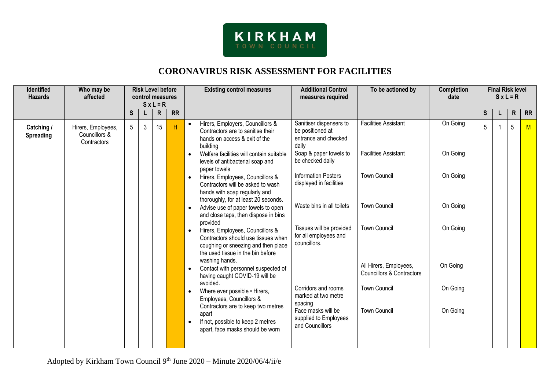

# **CORONAVIRUS RISK ASSESSMENT FOR FACILITIES**

| <b>Identified</b><br><b>Hazards</b> | Who may be<br>affected                             |   | $S x L = R$ |                                                                                   | <b>Risk Level before</b><br>control measures                                                                                                                                       |                                                                                                                                                |                                                                              | <b>Additional Control</b><br><b>Existing control measures</b><br>measures required |          | To be actioned by | Completion<br>date | <b>Final Risk level</b><br>$S x L = R$ |           |  |  |  |
|-------------------------------------|----------------------------------------------------|---|-------------|-----------------------------------------------------------------------------------|------------------------------------------------------------------------------------------------------------------------------------------------------------------------------------|------------------------------------------------------------------------------------------------------------------------------------------------|------------------------------------------------------------------------------|------------------------------------------------------------------------------------|----------|-------------------|--------------------|----------------------------------------|-----------|--|--|--|
|                                     |                                                    | S | L           | R                                                                                 | $\overline{RR}$                                                                                                                                                                    |                                                                                                                                                |                                                                              |                                                                                    |          | <b>S</b>          | L                  | $\mathsf{R}$                           | <b>RR</b> |  |  |  |
| Catching /<br><b>Spreading</b>      | Hirers, Employees,<br>Councillors &<br>Contractors | 5 | 3           | 15                                                                                | H                                                                                                                                                                                  | Hirers, Employers, Councillors &<br>$\bullet$<br>Contractors are to sanitise their<br>hands on access & exit of the<br>building                | Sanitiser dispensers to<br>be positioned at<br>entrance and checked<br>daily | <b>Facilities Assistant</b>                                                        | On Going | 5                 |                    | 5                                      | M         |  |  |  |
|                                     |                                                    |   |             |                                                                                   |                                                                                                                                                                                    | Welfare facilities will contain suitable<br>$\bullet$<br>levels of antibacterial soap and<br>paper towels                                      | Soap & paper towels to<br>be checked daily                                   | <b>Facilities Assistant</b>                                                        | On Going |                   |                    |                                        |           |  |  |  |
|                                     |                                                    |   |             |                                                                                   |                                                                                                                                                                                    | Hirers, Employees, Councillors &<br>Contractors will be asked to wash<br>hands with soap regularly and<br>thoroughly, for at least 20 seconds. | <b>Information Posters</b><br>displayed in facilities                        | <b>Town Council</b>                                                                | On Going |                   |                    |                                        |           |  |  |  |
|                                     |                                                    |   |             |                                                                                   | Advise use of paper towels to open<br>and close taps, then dispose in bins<br>provided                                                                                             | Waste bins in all toilets                                                                                                                      | <b>Town Council</b>                                                          | On Going                                                                           |          |                   |                    |                                        |           |  |  |  |
|                                     |                                                    |   |             |                                                                                   | Hirers, Employees, Councillors &<br>$\bullet$<br>Contractors should use tissues when<br>coughing or sneezing and then place<br>the used tissue in the bin before<br>washing hands. | Tissues will be provided<br>for all employees and<br>councillors.                                                                              | <b>Town Council</b>                                                          | On Going                                                                           |          |                   |                    |                                        |           |  |  |  |
|                                     |                                                    |   |             | Contact with personnel suspected of<br>having caught COVID-19 will be<br>avoided. |                                                                                                                                                                                    | All Hirers, Employees,<br><b>Councillors &amp; Contractors</b>                                                                                 | On Going                                                                     |                                                                                    |          |                   |                    |                                        |           |  |  |  |
|                                     |                                                    |   |             |                                                                                   | Where ever possible • Hirers,<br>Employees, Councillors &<br>Contractors are to keep two metres                                                                                    | Corridors and rooms<br>marked at two metre<br>spacing                                                                                          | <b>Town Council</b>                                                          | On Going                                                                           |          |                   |                    |                                        |           |  |  |  |
|                                     |                                                    |   |             |                                                                                   |                                                                                                                                                                                    | apart<br>If not, possible to keep 2 metres<br>apart, face masks should be worn                                                                 | Face masks will be<br>supplied to Employees<br>and Councillors               | <b>Town Council</b><br>On Going                                                    |          |                   |                    |                                        |           |  |  |  |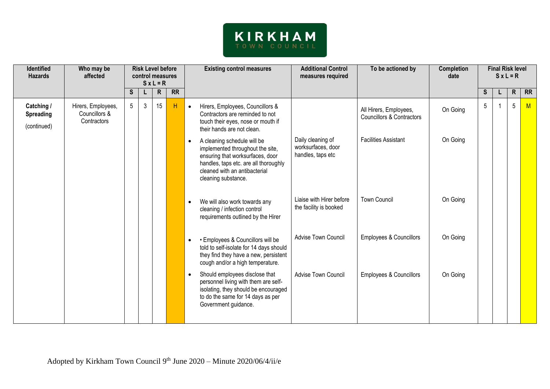

| <b>Identified</b><br><b>Hazards</b>           | Who may be<br>affected                             | <b>Risk Level before</b><br>control measures<br>$S x L = R$ |   |              |           |                                                                                                                                                                                                                   |                                                              |                                                                |          |    |   | <b>Existing control measures</b> |    | <b>Additional Control</b><br>To be actioned by<br>measures required |  | <b>Completion</b><br>date |  | <b>Final Risk level</b> | $S \times L = R$ |  |
|-----------------------------------------------|----------------------------------------------------|-------------------------------------------------------------|---|--------------|-----------|-------------------------------------------------------------------------------------------------------------------------------------------------------------------------------------------------------------------|--------------------------------------------------------------|----------------------------------------------------------------|----------|----|---|----------------------------------|----|---------------------------------------------------------------------|--|---------------------------|--|-------------------------|------------------|--|
|                                               |                                                    | S                                                           |   | $\mathsf{R}$ | <b>RR</b> |                                                                                                                                                                                                                   |                                                              |                                                                |          | S. | L | $\mathsf{R}$                     | RR |                                                                     |  |                           |  |                         |                  |  |
| Catching /<br><b>Spreading</b><br>(continued) | Hirers, Employees,<br>Councillors &<br>Contractors | 5 <sup>5</sup>                                              | 3 | 15           | H         | Hirers, Employees, Councillors &<br>$\bullet$<br>Contractors are reminded to not<br>touch their eyes, nose or mouth if<br>their hands are not clean.                                                              |                                                              | All Hirers, Employees,<br><b>Councillors &amp; Contractors</b> | On Going | 5  |   | $5\phantom{.0}$                  | M  |                                                                     |  |                           |  |                         |                  |  |
|                                               |                                                    |                                                             |   |              |           | A cleaning schedule will be<br>$\bullet$<br>implemented throughout the site,<br>ensuring that worksurfaces, door<br>handles, taps etc. are all thoroughly<br>cleaned with an antibacterial<br>cleaning substance. | Daily cleaning of<br>worksurfaces, door<br>handles, taps etc | <b>Facilities Assistant</b>                                    | On Going |    |   |                                  |    |                                                                     |  |                           |  |                         |                  |  |
|                                               |                                                    |                                                             |   |              |           | We will also work towards any<br>$\bullet$<br>cleaning / infection control<br>requirements outlined by the Hirer                                                                                                  | Liaise with Hirer before<br>the facility is booked           | <b>Town Council</b>                                            | On Going |    |   |                                  |    |                                                                     |  |                           |  |                         |                  |  |
|                                               |                                                    |                                                             |   |              |           | • Employees & Councillors will be<br>$\bullet$<br>told to self-isolate for 14 days should<br>they find they have a new, persistent<br>cough and/or a high temperature.                                            | Advise Town Council                                          | <b>Employees &amp; Councillors</b>                             | On Going |    |   |                                  |    |                                                                     |  |                           |  |                         |                  |  |
|                                               |                                                    |                                                             |   |              |           | Should employees disclose that<br>$\bullet$<br>personnel living with them are self-<br>isolating, they should be encouraged<br>to do the same for 14 days as per<br>Government guidance.                          | Advise Town Council                                          | <b>Employees &amp; Councillors</b>                             | On Going |    |   |                                  |    |                                                                     |  |                           |  |                         |                  |  |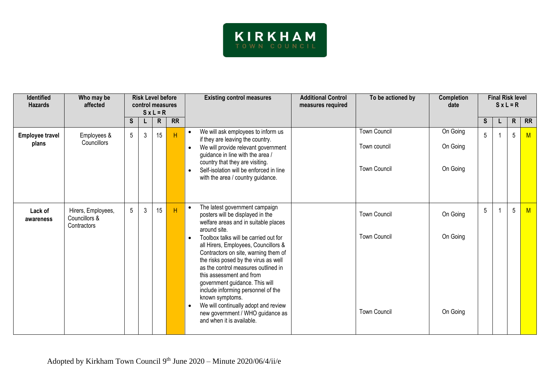

| <b>Identified</b><br><b>Hazards</b> | Who may be<br>affected                             | <b>Risk Level before</b><br>control measures<br>$S x L = R$ |                | <b>Additional Control</b><br><b>Existing control measures</b><br>To be actioned by<br>measures required |           | <b>Completion</b><br>date                                                                                                                                                                                                                                                                                                                                                                                                                                                                                                                                                                                 | <b>Final Risk level</b><br>$S x L = R$                            |                                  |    |  |              |           |
|-------------------------------------|----------------------------------------------------|-------------------------------------------------------------|----------------|---------------------------------------------------------------------------------------------------------|-----------|-----------------------------------------------------------------------------------------------------------------------------------------------------------------------------------------------------------------------------------------------------------------------------------------------------------------------------------------------------------------------------------------------------------------------------------------------------------------------------------------------------------------------------------------------------------------------------------------------------------|-------------------------------------------------------------------|----------------------------------|----|--|--------------|-----------|
|                                     |                                                    | S.                                                          |                | $\mathsf{R}$                                                                                            | <b>RR</b> |                                                                                                                                                                                                                                                                                                                                                                                                                                                                                                                                                                                                           |                                                                   |                                  | S. |  | $\mathsf{R}$ | <b>RR</b> |
| <b>Employee travel</b><br>plans     | Employees &<br>Councillors                         | $5\overline{)}$                                             | $\mathfrak{Z}$ | 15                                                                                                      | H         | We will ask employees to inform us<br>$\bullet$<br>if they are leaving the country.<br>We will provide relevant government<br>$\bullet$<br>guidance in line with the area /<br>country that they are visiting.<br>Self-isolation will be enforced in line<br>$\bullet$<br>with the area / country guidance.                                                                                                                                                                                                                                                                                               | <b>Town Council</b><br>Town council<br><b>Town Council</b>        | On Going<br>On Going<br>On Going | 5  |  | 5            | M         |
| Lack of<br>awareness                | Hirers, Employees,<br>Councillors &<br>Contractors | 5                                                           | 3              | 15                                                                                                      | H         | The latest government campaign<br>$\bullet$<br>posters will be displayed in the<br>welfare areas and in suitable places<br>around site.<br>Toolbox talks will be carried out for<br>$\bullet$<br>all Hirers, Employees, Councillors &<br>Contractors on site, warning them of<br>the risks posed by the virus as well<br>as the control measures outlined in<br>this assessment and from<br>government guidance. This will<br>include informing personnel of the<br>known symptoms.<br>We will continually adopt and review<br>$\bullet$<br>new government / WHO guidance as<br>and when it is available. | <b>Town Council</b><br><b>Town Council</b><br><b>Town Council</b> | On Going<br>On Going<br>On Going | 5  |  | 5            | M         |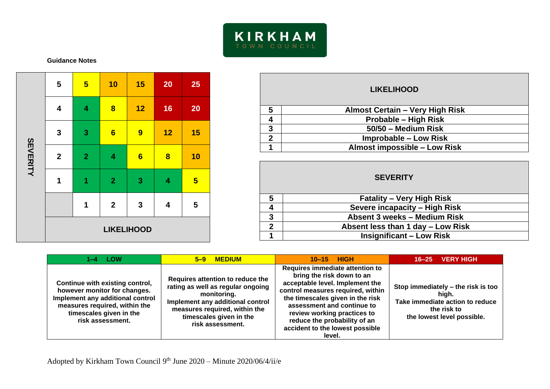

### **Guidance Notes**

| SEVERITY | 5                 | $5\overline{)}$         | 10                      | 15             | 20                      | 25                      |  |  |  |
|----------|-------------------|-------------------------|-------------------------|----------------|-------------------------|-------------------------|--|--|--|
|          | 4                 | $\overline{\mathbf{4}}$ | $\overline{\mathbf{8}}$ | 12             | 16                      | 20                      |  |  |  |
|          | $\mathbf 3$       | $\mathbf{3}$            | $6\phantom{a}$          | $\overline{9}$ | 12                      | 15                      |  |  |  |
|          | $\boldsymbol{2}$  | $\overline{2}$          | 4                       | $6\phantom{a}$ | $\overline{\mathbf{8}}$ | 10                      |  |  |  |
|          | 1                 | 1                       | $\overline{2}$          | $\mathbf{3}$   | $\overline{\mathbf{4}}$ | $5\phantom{1}$          |  |  |  |
|          |                   | 1                       | $\boldsymbol{2}$        | $\mathbf 3$    | $\overline{\mathbf{4}}$ | $\overline{\mathbf{5}}$ |  |  |  |
|          | <b>LIKELIHOOD</b> |                         |                         |                |                         |                         |  |  |  |

|             | <b>LIKELIHOOD</b>                      |
|-------------|----------------------------------------|
| 5           | <b>Almost Certain - Very High Risk</b> |
|             | Probable - High Risk                   |
| 3           | 50/50 - Medium Risk                    |
| $\mathbf 2$ | <b>Improbable – Low Risk</b>           |
|             | <b>Almost impossible - Low Risk</b>    |

## **SEVERITY**

| <b>Fatality – Very High Risk</b>  |
|-----------------------------------|
| Severe incapacity - High Risk     |
| Absent 3 weeks – Medium Risk      |
| Absent less than 1 day - Low Risk |
| <b>Insignificant – Low Risk</b>   |
|                                   |

| 1–4 LOW                                                                                                                                                                             | <b>MEDIUM</b><br>$5 - 9$                                                                                                                                                                                 | 10-15 HIGH                                                                                                                                                                                                                                                                                                         | 16-25 VERY HIGH                                                                                                             |
|-------------------------------------------------------------------------------------------------------------------------------------------------------------------------------------|----------------------------------------------------------------------------------------------------------------------------------------------------------------------------------------------------------|--------------------------------------------------------------------------------------------------------------------------------------------------------------------------------------------------------------------------------------------------------------------------------------------------------------------|-----------------------------------------------------------------------------------------------------------------------------|
| Continue with existing control,<br>however monitor for changes.<br>Implement any additional control<br>measures required, within the<br>timescales given in the<br>risk assessment. | Requires attention to reduce the<br>rating as well as regular ongoing<br>monitoring.<br>Implement any additional control<br>measures required, within the<br>timescales given in the<br>risk assessment. | Requires immediate attention to<br>bring the risk down to an<br>acceptable level. Implement the<br>control measures required, within<br>the timescales given in the risk<br>assessment and continue to<br>review working practices to<br>reduce the probability of an<br>accident to the lowest possible<br>level. | Stop immediately - the risk is too<br>hiah.<br>Take immediate action to reduce<br>the risk to<br>the lowest level possible. |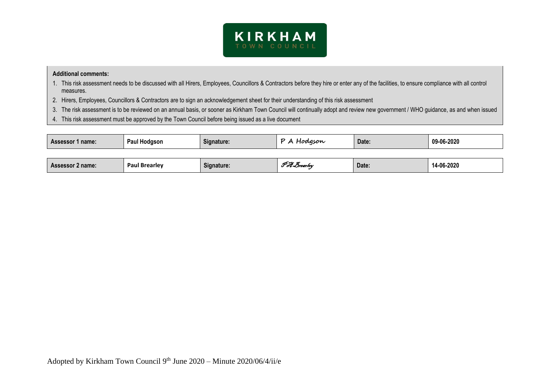

#### **Additional comments:**

- 1. This risk assessment needs to be discussed with all Hirers, Employees, Councillors & Contractors before they hire or enter any of the facilities, to ensure compliance with all control measures.
- 2. Hirers, Employees, Councillors & Contractors are to sign an acknowledgement sheet for their understanding of this risk assessment
- 3. The risk assessment is to be reviewed on an annual basis, or sooner as Kirkham Town Council will continually adopt and review new government / WHO guidance, as and when issued
- 4. This risk assessment must be approved by the Town Council before being issued as a live document

| <b>Assessor 1 name:</b> | Paul Hodgson         | Signature: | P A Hodgson<br>Date: |       | 09-06-2020 |  |
|-------------------------|----------------------|------------|----------------------|-------|------------|--|
|                         |                      |            |                      |       |            |  |
| <b>Assessor 2 name:</b> | <b>Paul Brearley</b> | Signature: | Pot Brearley         | Date: | 14-06-2020 |  |